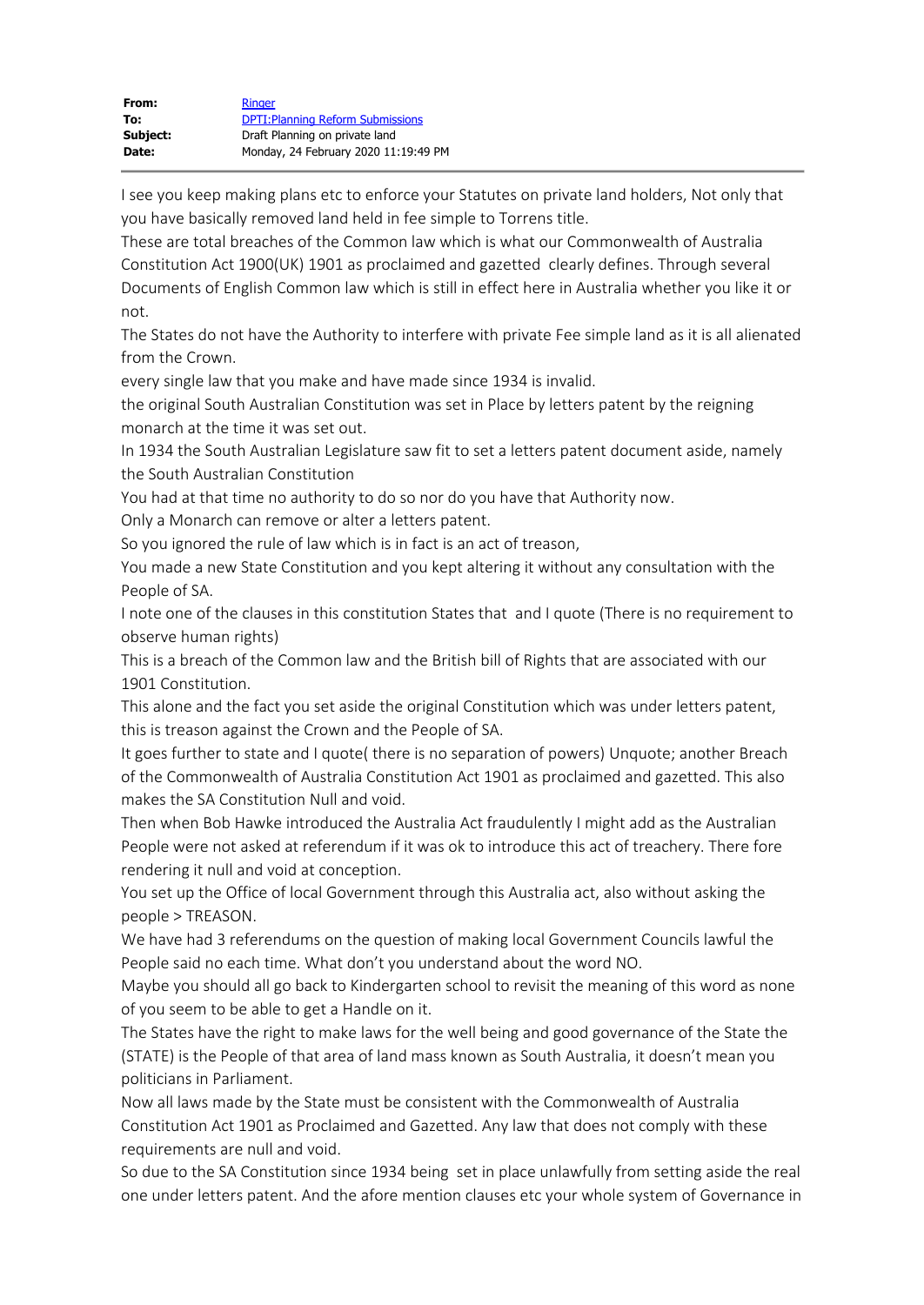| From:    | <b>Ringer</b>                            |
|----------|------------------------------------------|
| To:      | <b>DPTI: Planning Reform Submissions</b> |
| Subject: | Draft Planning on private land           |
| Date:    | Monday, 24 February 2020 11:19:49 PM     |

I see you keep making plans etc to enforce your Statutes on private land holders, Not only that you have basically removed land held in fee simple to Torrens title.

These are total breaches of the Common law which is what our Commonwealth of Australia Constitution Act 1900(UK) 1901 as proclaimed and gazetted clearly defines. Through several Documents of English Common law which is still in effect here in Australia whether you like it or not.

The States do not have the Authority to interfere with private Fee simple land as it is all alienated from the Crown.

every single law that you make and have made since 1934 is invalid.

the original South Australian Constitution was set in Place by letters patent by the reigning monarch at the time it was set out.

In 1934 the South Australian Legislature saw fit to set a letters patent document aside, namely the South Australian Constitution

You had at that time no authority to do so nor do you have that Authority now.

Only a Monarch can remove or alter a letters patent.

So you ignored the rule of law which is in fact is an act of treason,

You made a new State Constitution and you kept altering it without any consultation with the People of SA.

I note one of the clauses in this constitution States that and I quote (There is no requirement to observe human rights)

This is a breach of the Common law and the British bill of Rights that are associated with our 1901 Constitution.

This alone and the fact you set aside the original Constitution which was under letters patent, this is treason against the Crown and the People of SA.

It goes further to state and I quote( there is no separation of powers) Unquote; another Breach of the Commonwealth of Australia Constitution Act 1901 as proclaimed and gazetted. This also makes the SA Constitution Null and void.

Then when Bob Hawke introduced the Australia Act fraudulently I might add as the Australian People were not asked at referendum if it was ok to introduce this act of treachery. There fore rendering it null and void at conception.

You set up the Office of local Government through this Australia act, also without asking the people > TREASON.

We have had 3 referendums on the question of making local Government Councils lawful the People said no each time. What don't you understand about the word NO.

Maybe you should all go back to Kindergarten school to revisit the meaning of this word as none of you seem to be able to get a Handle on it.

The States have the right to make laws for the well being and good governance of the State the (STATE) is the People of that area of land mass known as South Australia, it doesn't mean you politicians in Parliament.

Now all laws made by the State must be consistent with the Commonwealth of Australia Constitution Act 1901 as Proclaimed and Gazetted. Any law that does not comply with these requirements are null and void.

So due to the SA Constitution since 1934 being set in place unlawfully from setting aside the real one under letters patent. And the afore mention clauses etc your whole system of Governance in